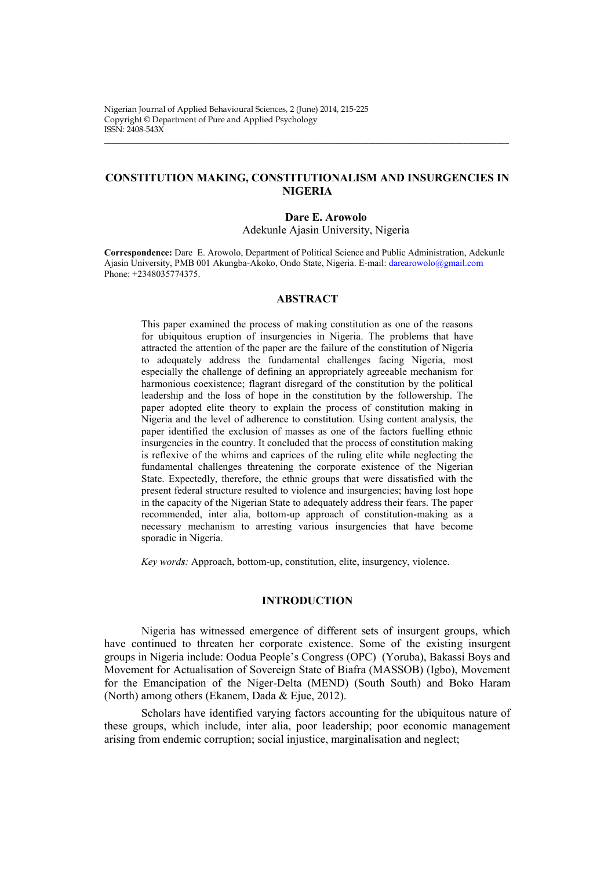Nigerian Journal of Applied Behavioural Sciences, 2 (June) 2014, 215-225 Copyright © Department of Pure and Applied Psychology ISSN: 2408-543X

# **CONSTITUTION MAKING, CONSTITUTIONALISM AND INSURGENCIES IN NIGERIA**

\_\_\_\_\_\_\_\_\_\_\_\_\_\_\_\_\_\_\_\_\_\_\_\_\_\_\_\_\_\_\_\_\_\_\_\_\_\_\_\_\_\_\_\_\_\_\_\_\_\_\_\_\_\_\_\_\_\_\_\_\_\_\_\_\_\_\_\_\_\_\_\_\_\_\_\_\_\_\_\_\_\_\_\_\_\_\_\_\_\_\_\_\_\_\_\_\_\_

#### **Dare E. Arowolo**

Adekunle Ajasin University, Nigeria

**Correspondence:** Dare E. Arowolo, Department of Political Science and Public Administration, Adekunle Ajasin University, PMB 001 Akungba-Akoko, Ondo State, Nigeria. E-mail[: darearowolo@gmail.com](mailto:darearowolo@gmail.com) Phone: +2348035774375.

## **ABSTRACT**

This paper examined the process of making constitution as one of the reasons for ubiquitous eruption of insurgencies in Nigeria. The problems that have attracted the attention of the paper are the failure of the constitution of Nigeria to adequately address the fundamental challenges facing Nigeria, most especially the challenge of defining an appropriately agreeable mechanism for harmonious coexistence; flagrant disregard of the constitution by the political leadership and the loss of hope in the constitution by the followership. The paper adopted elite theory to explain the process of constitution making in Nigeria and the level of adherence to constitution. Using content analysis, the paper identified the exclusion of masses as one of the factors fuelling ethnic insurgencies in the country. It concluded that the process of constitution making is reflexive of the whims and caprices of the ruling elite while neglecting the fundamental challenges threatening the corporate existence of the Nigerian State. Expectedly, therefore, the ethnic groups that were dissatisfied with the present federal structure resulted to violence and insurgencies; having lost hope in the capacity of the Nigerian State to adequately address their fears. The paper recommended, inter alia, bottom-up approach of constitution-making as a necessary mechanism to arresting various insurgencies that have become sporadic in Nigeria.

*Key words:* Approach, bottom-up, constitution, elite, insurgency, violence.

## **INTRODUCTION**

Nigeria has witnessed emergence of different sets of insurgent groups, which have continued to threaten her corporate existence. Some of the existing insurgent groups in Nigeria include: Oodua People's Congress (OPC) (Yoruba), Bakassi Boys and Movement for Actualisation of Sovereign State of Biafra (MASSOB) (Igbo), Movement for the Emancipation of the Niger-Delta (MEND) (South South) and Boko Haram (North) among others (Ekanem, Dada & Ejue, 2012).

Scholars have identified varying factors accounting for the ubiquitous nature of these groups, which include, inter alia, poor leadership; poor economic management arising from endemic corruption; social injustice, marginalisation and neglect;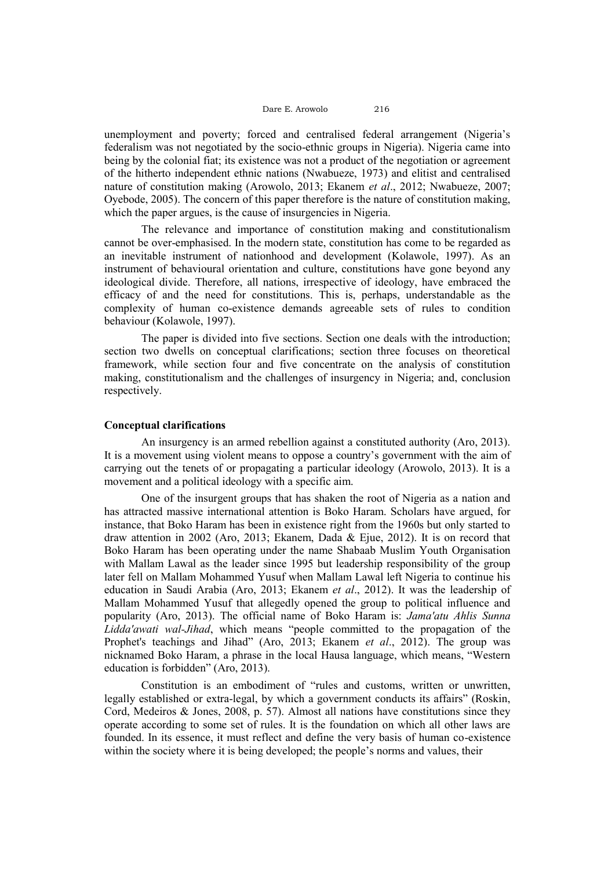unemployment and poverty; forced and centralised federal arrangement (Nigeria's federalism was not negotiated by the socio-ethnic groups in Nigeria). Nigeria came into being by the colonial fiat; its existence was not a product of the negotiation or agreement of the hitherto independent ethnic nations (Nwabueze, 1973) and elitist and centralised nature of constitution making (Arowolo, 2013; Ekanem *et al*., 2012; Nwabueze, 2007; Oyebode, 2005). The concern of this paper therefore is the nature of constitution making, which the paper argues, is the cause of insurgencies in Nigeria.

The relevance and importance of constitution making and constitutionalism cannot be over-emphasised. In the modern state, constitution has come to be regarded as an inevitable instrument of nationhood and development (Kolawole, 1997). As an instrument of behavioural orientation and culture, constitutions have gone beyond any ideological divide. Therefore, all nations, irrespective of ideology, have embraced the efficacy of and the need for constitutions. This is, perhaps, understandable as the complexity of human co-existence demands agreeable sets of rules to condition behaviour (Kolawole, 1997).

The paper is divided into five sections. Section one deals with the introduction; section two dwells on conceptual clarifications; section three focuses on theoretical framework, while section four and five concentrate on the analysis of constitution making, constitutionalism and the challenges of insurgency in Nigeria; and, conclusion respectively.

### **Conceptual clarifications**

An insurgency is an armed rebellion against a constituted authority (Aro, 2013). It is a movement using violent means to oppose a country's government with the aim of carrying out the tenets of or propagating a particular ideology (Arowolo, 2013). It is a movement and a political ideology with a specific aim.

One of the insurgent groups that has shaken the root of Nigeria as a nation and has attracted massive international attention is Boko Haram. Scholars have argued, for instance, that Boko Haram has been in existence right from the 1960s but only started to draw attention in 2002 (Aro, 2013; Ekanem, Dada & Ejue, 2012). It is on record that Boko Haram has been operating under the name Shabaab Muslim Youth Organisation with Mallam Lawal as the leader since 1995 but leadership responsibility of the group later fell on Mallam Mohammed Yusuf when Mallam Lawal left Nigeria to continue his education in Saudi Arabia (Aro, 2013; Ekanem *et al*., 2012). It was the leadership of Mallam Mohammed Yusuf that allegedly opened the group to political influence and popularity (Aro, 2013). The official name of Boko Haram is: *Jama'atu Ahlis Sunna Lidda'awati wal-Jihad*, which means "people committed to the propagation of the Prophet's teachings and Jihad" (Aro, 2013; Ekanem *et al*., 2012). The group was nicknamed Boko Haram, a phrase in the local Hausa language, which means, "Western education is forbidden" (Aro, 2013).

Constitution is an embodiment of "rules and customs, written or unwritten, legally established or extra-legal, by which a government conducts its affairs" (Roskin, Cord, Medeiros & Jones, 2008, p. 57). Almost all nations have constitutions since they operate according to some set of rules. It is the foundation on which all other laws are founded. In its essence, it must reflect and define the very basis of human co-existence within the society where it is being developed; the people's norms and values, their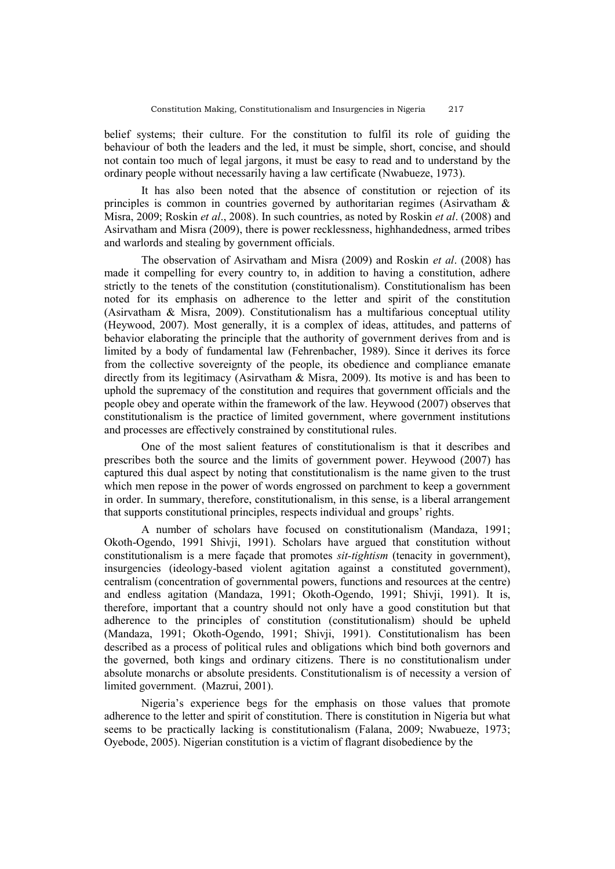belief systems; their culture. For the constitution to fulfil its role of guiding the behaviour of both the leaders and the led, it must be simple, short, concise, and should not contain too much of legal jargons, it must be easy to read and to understand by the ordinary people without necessarily having a law certificate (Nwabueze, 1973).

It has also been noted that the absence of constitution or rejection of its principles is common in countries governed by authoritarian regimes (Asirvatham & Misra, 2009; Roskin *et al*., 2008). In such countries, as noted by Roskin *et al*. (2008) and Asirvatham and Misra (2009), there is power recklessness, highhandedness, armed tribes and warlords and stealing by government officials.

The observation of Asirvatham and Misra (2009) and Roskin *et al*. (2008) has made it compelling for every country to, in addition to having a constitution, adhere strictly to the tenets of the constitution (constitutionalism). Constitutionalism has been noted for its emphasis on adherence to the letter and spirit of the constitution (Asirvatham & Misra, 2009). Constitutionalism has a multifarious conceptual utility (Heywood, 2007). Most generally, it is a complex of ideas, attitudes, and patterns of behavior elaborating the principle that the authority of government derives from and is limited by a body of fundamental law (Fehrenbacher, 1989). Since it derives its force from the collective sovereignty of the people, its obedience and compliance emanate directly from its legitimacy (Asirvatham & Misra, 2009). Its motive is and has been to uphold the supremacy of the constitution and requires that government officials and the people obey and operate within the framework of the law. Heywood (2007) observes that constitutionalism is the practice of limited government, where government institutions and processes are effectively constrained by constitutional rules.

One of the most salient features of constitutionalism is that it describes and prescribes both the source and the limits of government power. Heywood (2007) has captured this dual aspect by noting that constitutionalism is the name given to the trust which men repose in the power of words engrossed on parchment to keep a government in order. In summary, therefore, constitutionalism, in this sense, is a liberal arrangement that supports constitutional principles, respects individual and groups' rights.

A number of scholars have focused on constitutionalism (Mandaza, 1991; Okoth-Ogendo, 1991 Shivji, 1991). Scholars have argued that constitution without constitutionalism is a mere façade that promotes *sit-tightism* (tenacity in government), insurgencies (ideology-based violent agitation against a constituted government), centralism (concentration of governmental powers, functions and resources at the centre) and endless agitation (Mandaza, 1991; Okoth-Ogendo, 1991; Shivji, 1991). It is, therefore, important that a country should not only have a good constitution but that adherence to the principles of constitution (constitutionalism) should be upheld (Mandaza, 1991; Okoth-Ogendo, 1991; Shivji, 1991). Constitutionalism has been described as a process of political rules and obligations which bind both governors and the governed, both kings and ordinary citizens. There is no constitutionalism under absolute monarchs or absolute presidents. Constitutionalism is of necessity a version of limited government. (Mazrui, 2001).

Nigeria's experience begs for the emphasis on those values that promote adherence to the letter and spirit of constitution. There is constitution in Nigeria but what seems to be practically lacking is constitutionalism (Falana, 2009; Nwabueze, 1973; Oyebode, 2005). Nigerian constitution is a victim of flagrant disobedience by the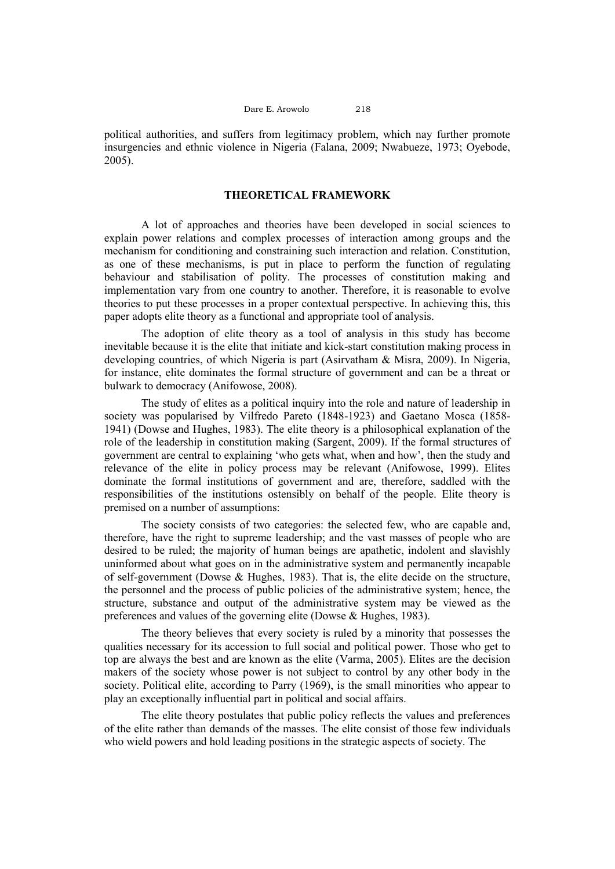political authorities, and suffers from legitimacy problem, which nay further promote insurgencies and ethnic violence in Nigeria (Falana, 2009; Nwabueze, 1973; Oyebode, 2005).

### **THEORETICAL FRAMEWORK**

A lot of approaches and theories have been developed in social sciences to explain power relations and complex processes of interaction among groups and the mechanism for conditioning and constraining such interaction and relation. Constitution, as one of these mechanisms, is put in place to perform the function of regulating behaviour and stabilisation of polity. The processes of constitution making and implementation vary from one country to another. Therefore, it is reasonable to evolve theories to put these processes in a proper contextual perspective. In achieving this, this paper adopts elite theory as a functional and appropriate tool of analysis.

The adoption of elite theory as a tool of analysis in this study has become inevitable because it is the elite that initiate and kick-start constitution making process in developing countries, of which Nigeria is part (Asirvatham & Misra, 2009). In Nigeria, for instance, elite dominates the formal structure of government and can be a threat or bulwark to democracy (Anifowose, 2008).

The study of elites as a political inquiry into the role and nature of leadership in society was popularised by Vilfredo Pareto (1848-1923) and Gaetano Mosca (1858- 1941) (Dowse and Hughes, 1983). The elite theory is a philosophical explanation of the role of the leadership in constitution making (Sargent, 2009). If the formal structures of government are central to explaining 'who gets what, when and how', then the study and relevance of the elite in policy process may be relevant (Anifowose, 1999). Elites dominate the formal institutions of government and are, therefore, saddled with the responsibilities of the institutions ostensibly on behalf of the people. Elite theory is premised on a number of assumptions:

The society consists of two categories: the selected few, who are capable and, therefore, have the right to supreme leadership; and the vast masses of people who are desired to be ruled; the majority of human beings are apathetic, indolent and slavishly uninformed about what goes on in the administrative system and permanently incapable of self-government (Dowse & Hughes, 1983). That is, the elite decide on the structure, the personnel and the process of public policies of the administrative system; hence, the structure, substance and output of the administrative system may be viewed as the preferences and values of the governing elite (Dowse & Hughes, 1983).

The theory believes that every society is ruled by a minority that possesses the qualities necessary for its accession to full social and political power. Those who get to top are always the best and are known as the elite (Varma, 2005). Elites are the decision makers of the society whose power is not subject to control by any other body in the society. Political elite, according to Parry (1969), is the small minorities who appear to play an exceptionally influential part in political and social affairs.

The elite theory postulates that public policy reflects the values and preferences of the elite rather than demands of the masses. The elite consist of those few individuals who wield powers and hold leading positions in the strategic aspects of society. The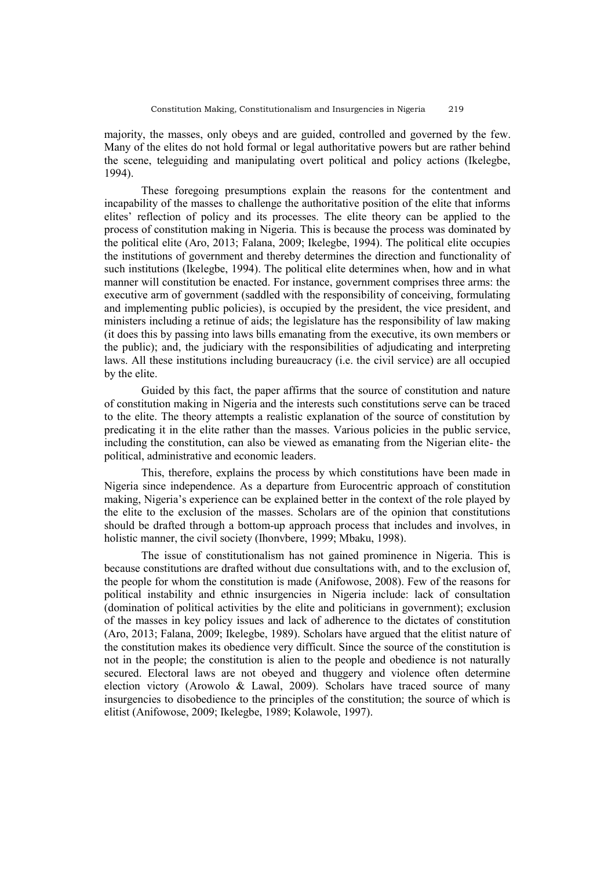majority, the masses, only obeys and are guided, controlled and governed by the few. Many of the elites do not hold formal or legal authoritative powers but are rather behind the scene, teleguiding and manipulating overt political and policy actions (Ikelegbe, 1994).

These foregoing presumptions explain the reasons for the contentment and incapability of the masses to challenge the authoritative position of the elite that informs elites' reflection of policy and its processes. The elite theory can be applied to the process of constitution making in Nigeria. This is because the process was dominated by the political elite (Aro, 2013; Falana, 2009; Ikelegbe, 1994). The political elite occupies the institutions of government and thereby determines the direction and functionality of such institutions (Ikelegbe, 1994). The political elite determines when, how and in what manner will constitution be enacted. For instance, government comprises three arms: the executive arm of government (saddled with the responsibility of conceiving, formulating and implementing public policies), is occupied by the president, the vice president, and ministers including a retinue of aids; the legislature has the responsibility of law making (it does this by passing into laws bills emanating from the executive, its own members or the public); and, the judiciary with the responsibilities of adjudicating and interpreting laws. All these institutions including bureaucracy (i.e. the civil service) are all occupied by the elite.

Guided by this fact, the paper affirms that the source of constitution and nature of constitution making in Nigeria and the interests such constitutions serve can be traced to the elite. The theory attempts a realistic explanation of the source of constitution by predicating it in the elite rather than the masses. Various policies in the public service, including the constitution, can also be viewed as emanating from the Nigerian elite- the political, administrative and economic leaders.

This, therefore, explains the process by which constitutions have been made in Nigeria since independence. As a departure from Eurocentric approach of constitution making, Nigeria's experience can be explained better in the context of the role played by the elite to the exclusion of the masses. Scholars are of the opinion that constitutions should be drafted through a bottom-up approach process that includes and involves, in holistic manner, the civil society (Ihonybere, 1999; Mbaku, 1998).

The issue of constitutionalism has not gained prominence in Nigeria. This is because constitutions are drafted without due consultations with, and to the exclusion of, the people for whom the constitution is made (Anifowose, 2008). Few of the reasons for political instability and ethnic insurgencies in Nigeria include: lack of consultation (domination of political activities by the elite and politicians in government); exclusion of the masses in key policy issues and lack of adherence to the dictates of constitution (Aro, 2013; Falana, 2009; Ikelegbe, 1989). Scholars have argued that the elitist nature of the constitution makes its obedience very difficult. Since the source of the constitution is not in the people; the constitution is alien to the people and obedience is not naturally secured. Electoral laws are not obeyed and thuggery and violence often determine election victory (Arowolo & Lawal, 2009). Scholars have traced source of many insurgencies to disobedience to the principles of the constitution; the source of which is elitist (Anifowose, 2009; Ikelegbe, 1989; Kolawole, 1997).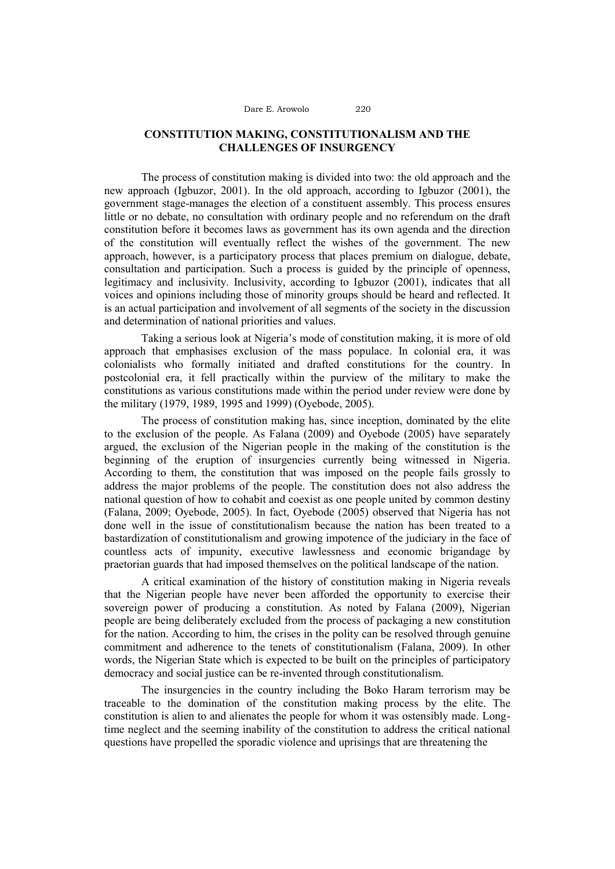# **CONSTITUTION MAKING, CONSTITUTIONALISM AND THE CHALLENGES OF INSURGENCY**

The process of constitution making is divided into two: the old approach and the new approach (Igbuzor, 2001). In the old approach, according to Igbuzor (2001), the government stage-manages the election of a constituent assembly. This process ensures little or no debate, no consultation with ordinary people and no referendum on the draft constitution before it becomes laws as government has its own agenda and the direction of the constitution will eventually reflect the wishes of the government. The new approach, however, is a participatory process that places premium on dialogue, debate, consultation and participation. Such a process is guided by the principle of openness, legitimacy and inclusivity. Inclusivity, according to Igbuzor (2001), indicates that all voices and opinions including those of minority groups should be heard and reflected. It is an actual participation and involvement of all segments of the society in the discussion and determination of national priorities and values.

Taking a serious look at Nigeria's mode of constitution making, it is more of old approach that emphasises exclusion of the mass populace. In colonial era, it was colonialists who formally initiated and drafted constitutions for the country. In postcolonial era, it fell practically within the purview of the military to make the constitutions as various constitutions made within the period under review were done by the military (1979, 1989, 1995 and 1999) (Oyebode, 2005).

The process of constitution making has, since inception, dominated by the elite to the exclusion of the people. As Falana (2009) and Oyebode (2005) have separately argued, the exclusion of the Nigerian people in the making of the constitution is the beginning of the eruption of insurgencies currently being witnessed in Nigeria. According to them, the constitution that was imposed on the people fails grossly to address the major problems of the people. The constitution does not also address the national question of how to cohabit and coexist as one people united by common destiny (Falana, 2009; Oyebode, 2005). In fact, Oyebode (2005) observed that Nigeria has not done well in the issue of constitutionalism because the nation has been treated to a bastardization of constitutionalism and growing impotence of the judiciary in the face of countless acts of impunity, executive lawlessness and economic brigandage by praetorian guards that had imposed themselves on the political landscape of the nation.

A critical examination of the history of constitution making in Nigeria reveals that the Nigerian people have never been afforded the opportunity to exercise their sovereign power of producing a constitution. As noted by Falana (2009), Nigerian people are being deliberately excluded from the process of packaging a new constitution for the nation. According to him, the crises in the polity can be resolved through genuine commitment and adherence to the tenets of constitutionalism (Falana, 2009). In other words, the Nigerian State which is expected to be built on the principles of participatory democracy and social justice can be re-invented through constitutionalism.

The insurgencies in the country including the Boko Haram terrorism may be traceable to the domination of the constitution making process by the elite. The constitution is alien to and alienates the people for whom it was ostensibly made. Longtime neglect and the seeming inability of the constitution to address the critical national questions have propelled the sporadic violence and uprisings that are threatening the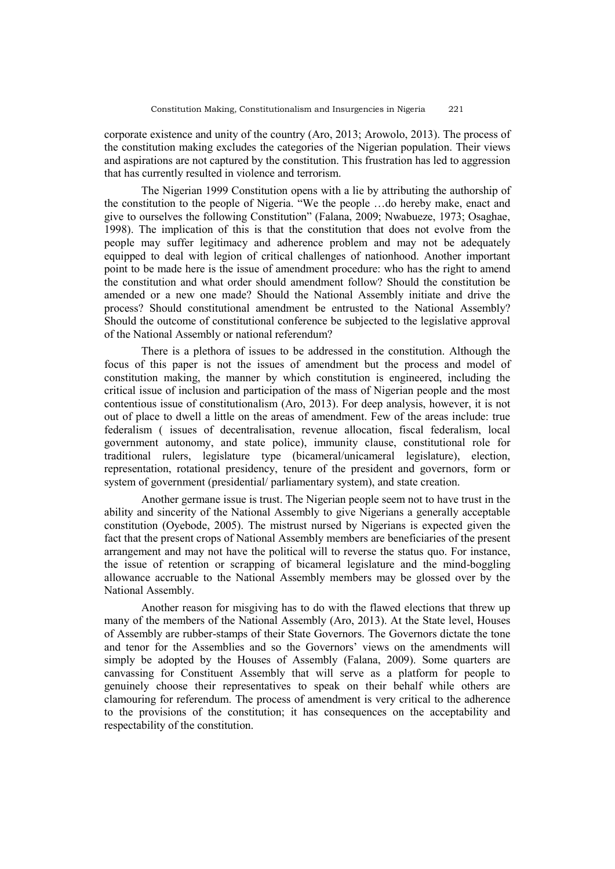corporate existence and unity of the country (Aro, 2013; Arowolo, 2013). The process of the constitution making excludes the categories of the Nigerian population. Their views and aspirations are not captured by the constitution. This frustration has led to aggression that has currently resulted in violence and terrorism.

The Nigerian 1999 Constitution opens with a lie by attributing the authorship of the constitution to the people of Nigeria. "We the people …do hereby make, enact and give to ourselves the following Constitution" (Falana, 2009; Nwabueze, 1973; Osaghae, 1998). The implication of this is that the constitution that does not evolve from the people may suffer legitimacy and adherence problem and may not be adequately equipped to deal with legion of critical challenges of nationhood. Another important point to be made here is the issue of amendment procedure: who has the right to amend the constitution and what order should amendment follow? Should the constitution be amended or a new one made? Should the National Assembly initiate and drive the process? Should constitutional amendment be entrusted to the National Assembly? Should the outcome of constitutional conference be subjected to the legislative approval of the National Assembly or national referendum?

There is a plethora of issues to be addressed in the constitution. Although the focus of this paper is not the issues of amendment but the process and model of constitution making, the manner by which constitution is engineered, including the critical issue of inclusion and participation of the mass of Nigerian people and the most contentious issue of constitutionalism (Aro, 2013). For deep analysis, however, it is not out of place to dwell a little on the areas of amendment. Few of the areas include: true federalism ( issues of decentralisation, revenue allocation, fiscal federalism, local government autonomy, and state police), immunity clause, constitutional role for traditional rulers, legislature type (bicameral/unicameral legislature), election, representation, rotational presidency, tenure of the president and governors, form or system of government (presidential/ parliamentary system), and state creation.

Another germane issue is trust. The Nigerian people seem not to have trust in the ability and sincerity of the National Assembly to give Nigerians a generally acceptable constitution (Oyebode, 2005). The mistrust nursed by Nigerians is expected given the fact that the present crops of National Assembly members are beneficiaries of the present arrangement and may not have the political will to reverse the status quo. For instance, the issue of retention or scrapping of bicameral legislature and the mind-boggling allowance accruable to the National Assembly members may be glossed over by the National Assembly.

Another reason for misgiving has to do with the flawed elections that threw up many of the members of the National Assembly (Aro, 2013). At the State level, Houses of Assembly are rubber-stamps of their State Governors. The Governors dictate the tone and tenor for the Assemblies and so the Governors' views on the amendments will simply be adopted by the Houses of Assembly (Falana, 2009). Some quarters are canvassing for Constituent Assembly that will serve as a platform for people to genuinely choose their representatives to speak on their behalf while others are clamouring for referendum. The process of amendment is very critical to the adherence to the provisions of the constitution; it has consequences on the acceptability and respectability of the constitution.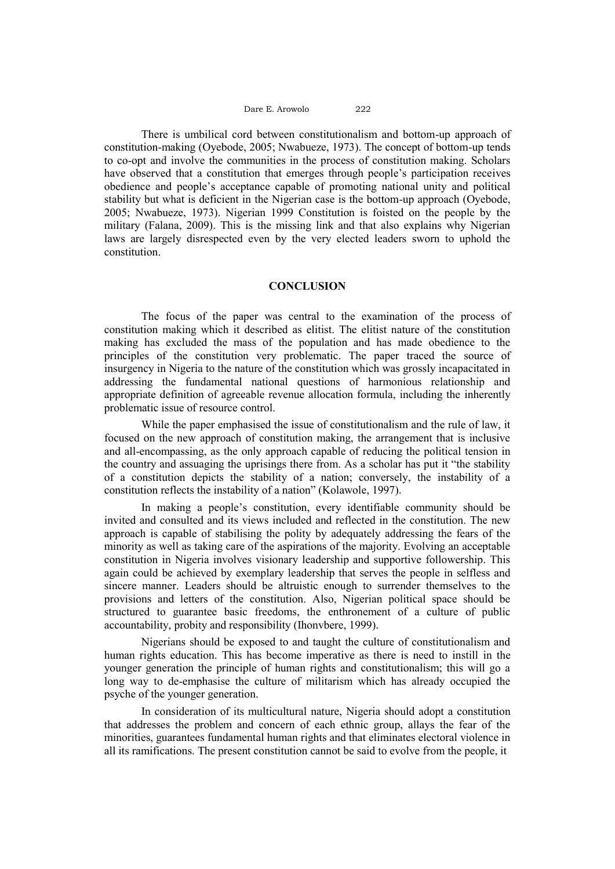#### Dare E. Arowolo 222

There is umbilical cord between constitutionalism and bottom-up approach of constitution-making (Oyebode, 2005; Nwabueze, 1973). The concept of bottom-up tends to co-opt and involve the communities in the process of constitution making. Scholars have observed that a constitution that emerges through people's participation receives obedience and people's acceptance capable of promoting national unity and political stability but what is deficient in the Nigerian case is the bottom-up approach (Oyebode, 2005; Nwabueze, 1973). Nigerian 1999 Constitution is foisted on the people by the military (Falana, 2009). This is the missing link and that also explains why Nigerian laws are largely disrespected even by the very elected leaders sworn to uphold the constitution.

### **CONCLUSION**

The focus of the paper was central to the examination of the process of constitution making which it described as elitist. The elitist nature of the constitution making has excluded the mass of the population and has made obedience to the principles of the constitution very problematic. The paper traced the source of insurgency in Nigeria to the nature of the constitution which was grossly incapacitated in addressing the fundamental national questions of harmonious relationship and appropriate definition of agreeable revenue allocation formula, including the inherently problematic issue of resource control.

While the paper emphasised the issue of constitutionalism and the rule of law, it focused on the new approach of constitution making, the arrangement that is inclusive and all-encompassing, as the only approach capable of reducing the political tension in the country and assuaging the uprisings there from. As a scholar has put it "the stability of a constitution depicts the stability of a nation; conversely, the instability of a constitution reflects the instability of a nation" (Kolawole, 1997).

In making a people's constitution, every identifiable community should be invited and consulted and its views included and reflected in the constitution. The new approach is capable of stabilising the polity by adequately addressing the fears of the minority as well as taking care of the aspirations of the majority. Evolving an acceptable constitution in Nigeria involves visionary leadership and supportive followership. This again could be achieved by exemplary leadership that serves the people in selfless and sincere manner. Leaders should be altruistic enough to surrender themselves to the provisions and letters of the constitution. Also, Nigerian political space should be structured to guarantee basic freedoms, the enthronement of a culture of public accountability, probity and responsibility (Ihonvbere, 1999).

Nigerians should be exposed to and taught the culture of constitutionalism and human rights education. This has become imperative as there is need to instill in the younger generation the principle of human rights and constitutionalism; this will go a long way to de-emphasise the culture of militarism which has already occupied the psyche of the younger generation.

In consideration of its multicultural nature, Nigeria should adopt a constitution that addresses the problem and concern of each ethnic group, allays the fear of the minorities, guarantees fundamental human rights and that eliminates electoral violence in all its ramifications. The present constitution cannot be said to evolve from the people, it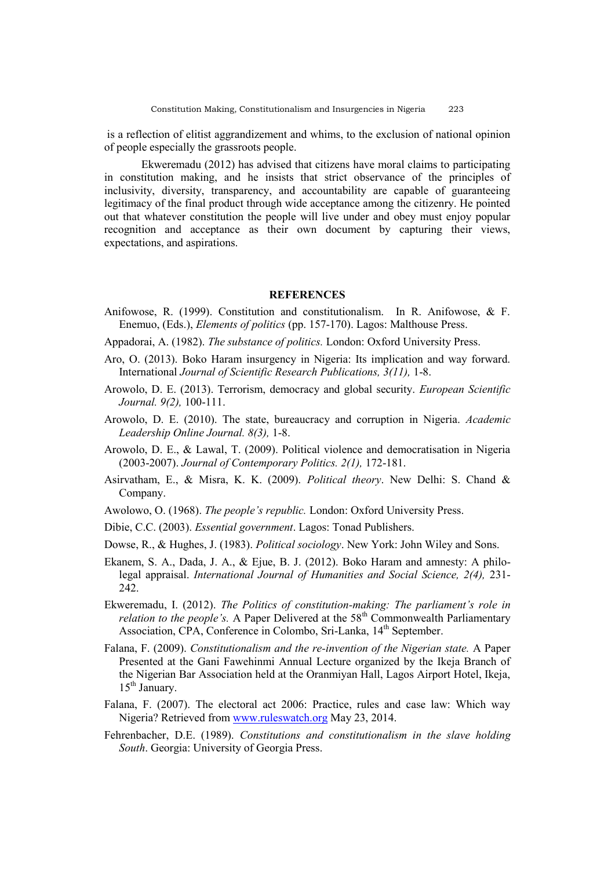is a reflection of elitist aggrandizement and whims, to the exclusion of national opinion of people especially the grassroots people.

Ekweremadu (2012) has advised that citizens have moral claims to participating in constitution making, and he insists that strict observance of the principles of inclusivity, diversity, transparency, and accountability are capable of guaranteeing legitimacy of the final product through wide acceptance among the citizenry. He pointed out that whatever constitution the people will live under and obey must enjoy popular recognition and acceptance as their own document by capturing their views, expectations, and aspirations.

#### **REFERENCES**

- Anifowose, R. (1999). Constitution and constitutionalism. In R. Anifowose, & F. Enemuo, (Eds.), *Elements of politics* (pp. 157-170). Lagos: Malthouse Press.
- Appadorai, A. (1982). *The substance of politics.* London: Oxford University Press.
- Aro, O. (2013). Boko Haram insurgency in Nigeria: Its implication and way forward. International *Journal of Scientific Research Publications, 3(11),* 1-8.
- Arowolo, D. E. (2013). Terrorism, democracy and global security. *European Scientific Journal. 9(2),* 100-111.
- Arowolo, D. E. (2010). The state, bureaucracy and corruption in Nigeria. *Academic Leadership Online Journal. 8(3),* 1-8.
- Arowolo, D. E., & Lawal, T. (2009). Political violence and democratisation in Nigeria (2003-2007). *Journal of Contemporary Politics. 2(1),* 172-181.
- Asirvatham, E., & Misra, K. K. (2009). *Political theory*. New Delhi: S. Chand & Company.
- Awolowo, O. (1968). *The people's republic.* London: Oxford University Press.
- Dibie, C.C. (2003). *Essential government*. Lagos: Tonad Publishers.
- Dowse, R., & Hughes, J. (1983). *Political sociology*. New York: John Wiley and Sons.
- Ekanem, S. A., Dada, J. A., & Ejue, B. J. (2012). Boko Haram and amnesty: A philolegal appraisal. *International Journal of Humanities and Social Science, 2(4),* 231- 242.
- Ekweremadu, I. (2012). *The Politics of constitution-making: The parliament's role in relation to the people's.* A Paper Delivered at the 58<sup>th</sup> Commonwealth Parliamentary Association, CPA, Conference in Colombo, Sri-Lanka, 14<sup>th</sup> September.
- Falana, F. (2009). *Constitutionalism and the re-invention of the Nigerian state.* A Paper Presented at the Gani Fawehinmi Annual Lecture organized by the Ikeja Branch of the Nigerian Bar Association held at the Oranmiyan Hall, Lagos Airport Hotel, Ikeja,  $15<sup>th</sup>$  January.
- Falana, F. (2007). The electoral act 2006: Practice, rules and case law: Which way Nigeria? Retrieved from [www.ruleswatch.org](http://www.ruleswatch.org/) May 23, 2014.
- Fehrenbacher, D.E. (1989). *Constitutions and constitutionalism in the slave holding South*. Georgia: University of Georgia Press.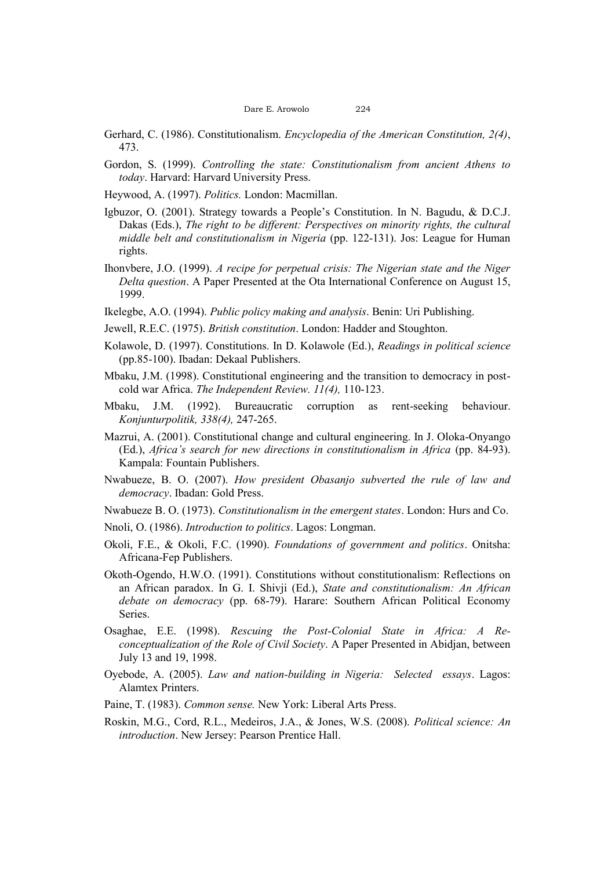- Gerhard, C. (1986). Constitutionalism. *Encyclopedia of the American Constitution, 2(4)*, 473.
- Gordon, S. (1999). *Controlling the state: Constitutionalism from ancient Athens to today*. Harvard: Harvard University Press.
- Heywood, A. (1997). *Politics.* London: Macmillan.
- Igbuzor, O. (2001). Strategy towards a People's Constitution. In N. Bagudu, & D.C.J. Dakas (Eds.), *The right to be different: Perspectives on minority rights, the cultural middle belt and constitutionalism in Nigeria* (pp. 122-131). Jos: League for Human rights.
- Ihonvbere, J.O. (1999). *A recipe for perpetual crisis: The Nigerian state and the Niger Delta question*. A Paper Presented at the Ota International Conference on August 15, 1999.
- Ikelegbe, A.O. (1994). *Public policy making and analysis*. Benin: Uri Publishing.
- Jewell, R.E.C. (1975). *British constitution*. London: Hadder and Stoughton.
- Kolawole, D. (1997). Constitutions. In D. Kolawole (Ed.), *Readings in political science* (pp.85-100). Ibadan: Dekaal Publishers.
- Mbaku, J.M. (1998). Constitutional engineering and the transition to democracy in postcold war Africa. *The Independent Review. 11(4),* 110-123.
- Mbaku, J.M. (1992). Bureaucratic corruption as rent-seeking behaviour. *Konjunturpolitik, 338(4),* 247-265.
- Mazrui, A. (2001). Constitutional change and cultural engineering. In J. Oloka-Onyango (Ed.), *Africa's search for new directions in constitutionalism in Africa* (pp. 84-93). Kampala: Fountain Publishers.
- Nwabueze, B. O. (2007). *How president Obasanjo subverted the rule of law and democracy*. Ibadan: Gold Press.
- Nwabueze B. O. (1973). *Constitutionalism in the emergent states*. London: Hurs and Co.
- Nnoli, O. (1986). *Introduction to politics*. Lagos: Longman.
- Okoli, F.E., & Okoli, F.C. (1990). *Foundations of government and politics*. Onitsha: Africana-Fep Publishers.
- Okoth-Ogendo, H.W.O. (1991). Constitutions without constitutionalism: Reflections on an African paradox. In G. I. Shivji (Ed.), *State and constitutionalism: An African debate on democracy* (pp. 68-79). Harare: Southern African Political Economy Series.
- Osaghae, E.E. (1998). *Rescuing the Post-Colonial State in Africa: A Reconceptualization of the Role of Civil Society*. A Paper Presented in Abidjan, between July 13 and 19, 1998.
- Oyebode, A. (2005). *Law and nation-building in Nigeria: Selected essays*. Lagos: Alamtex Printers.
- Paine, T. (1983). *Common sense.* New York: Liberal Arts Press.
- Roskin, M.G., Cord, R.L., Medeiros, J.A., & Jones, W.S. (2008). *Political science: An introduction*. New Jersey: Pearson Prentice Hall.